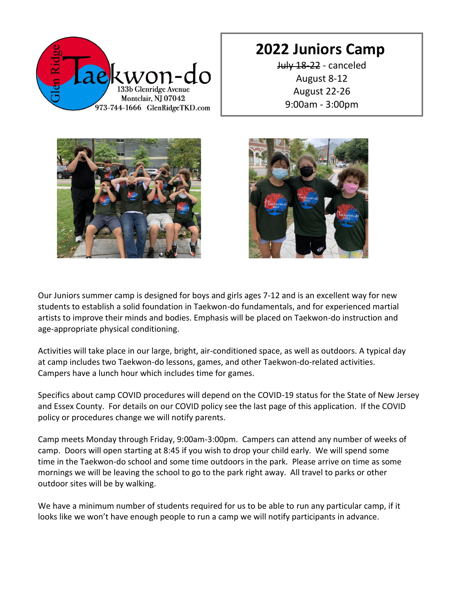

### **2022 Juniors Camp**

July 18-22 - canceled August 8-12 August 22-26 9:00am - 3:00pm





Our Juniors summer camp is designed for boys and girls ages 7-12 and is an excellent way for new students to establish a solid foundation in Taekwon-do fundamentals, and for experienced martial artists to improve their minds and bodies. Emphasis will be placed on Taekwon-do instruction and age-appropriate physical conditioning.

Activities will take place in our large, bright, air-conditioned space, as well as outdoors. A typical day at camp includes two Taekwon-do lessons, games, and other Taekwon-do-related activities. Campers have a lunch hour which includes time for games.

Specifics about camp COVID procedures will depend on the COVID-19 status for the State of New Jersey and Essex County. For details on our COVID policy see the last page of this application. If the COVID policy or procedures change we will notify parents.

Camp meets Monday through Friday, 9:00am-3:00pm. Campers can attend any number of weeks of camp. Doors will open starting at 8:45 if you wish to drop your child early. We will spend some time in the Taekwon-do school and some time outdoors in the park. Please arrive on time as some mornings we will be leaving the school to go to the park right away. All travel to parks or other outdoor sites will be by walking.

We have a minimum number of students required for us to be able to run any particular camp, if it looks like we won't have enough people to run a camp we will notify participants in advance.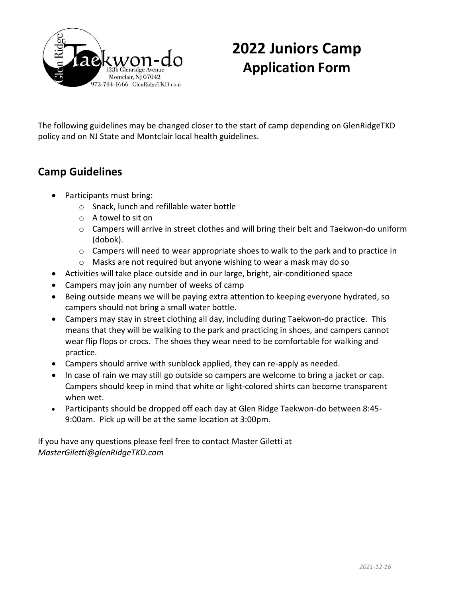

# **2022 Juniors Camp Application Form**

The following guidelines may be changed closer to the start of camp depending on GlenRidgeTKD policy and on NJ State and Montclair local health guidelines.

#### **Camp Guidelines**

- Participants must bring:
	- o Snack, lunch and refillable water bottle
	- o A towel to sit on
	- $\circ$  Campers will arrive in street clothes and will bring their belt and Taekwon-do uniform (dobok).
	- $\circ$  Campers will need to wear appropriate shoes to walk to the park and to practice in
	- o Masks are not required but anyone wishing to wear a mask may do so
- Activities will take place outside and in our large, bright, air-conditioned space
- Campers may join any number of weeks of camp
- Being outside means we will be paying extra attention to keeping everyone hydrated, so campers should not bring a small water bottle.
- Campers may stay in street clothing all day, including during Taekwon-do practice. This means that they will be walking to the park and practicing in shoes, and campers cannot wear flip flops or crocs. The shoes they wear need to be comfortable for walking and practice.
- Campers should arrive with sunblock applied, they can re-apply as needed.
- In case of rain we may still go outside so campers are welcome to bring a jacket or cap. Campers should keep in mind that white or light-colored shirts can become transparent when wet.
- Participants should be dropped off each day at Glen Ridge Taekwon-do between 8:45- 9:00am. Pick up will be at the same location at 3:00pm.

If you have any questions please feel free to contact Master Giletti at *MasterGiletti@glenRidgeTKD.com*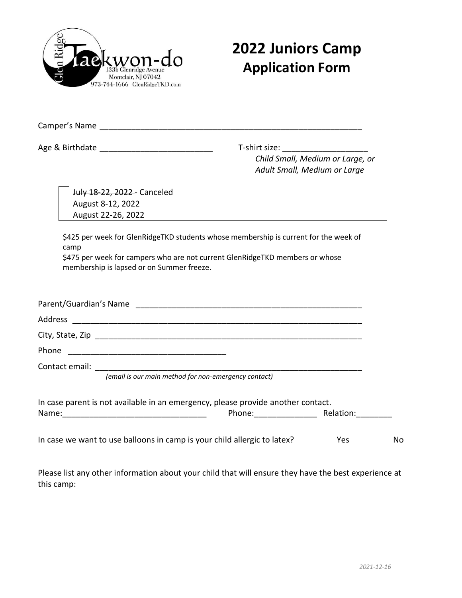

## **2022 Juniors Camp Application Form**

Camper's Name \_\_\_\_\_\_\_\_\_\_\_\_\_\_\_\_\_\_\_\_\_\_\_\_\_\_\_\_\_\_\_\_\_\_\_\_\_\_\_\_\_\_\_\_\_\_\_\_\_\_\_\_\_\_\_\_\_\_

Age & Birthdate \_\_\_\_\_\_\_\_\_\_\_\_\_\_\_\_\_\_\_\_\_\_\_\_\_ T-shirt size: \_\_\_\_\_\_\_\_\_\_\_\_\_\_\_\_\_\_\_ *Child Small, Medium or Large, or Adult Small, Medium or Large*

| July 18-22, 2022 - Canceled                                                                                                                                                                                               |     |
|---------------------------------------------------------------------------------------------------------------------------------------------------------------------------------------------------------------------------|-----|
| August 8-12, 2022                                                                                                                                                                                                         |     |
| August 22-26, 2022                                                                                                                                                                                                        |     |
| \$425 per week for GlenRidgeTKD students whose membership is current for the week of<br>camp<br>\$475 per week for campers who are not current GlenRidgeTKD members or whose<br>membership is lapsed or on Summer freeze. |     |
|                                                                                                                                                                                                                           |     |
|                                                                                                                                                                                                                           |     |
|                                                                                                                                                                                                                           |     |
|                                                                                                                                                                                                                           |     |
|                                                                                                                                                                                                                           |     |
| (email is our main method for non-emergency contact)                                                                                                                                                                      |     |
| In case parent is not available in an emergency, please provide another contact.                                                                                                                                          |     |
| In case we want to use balloons in camp is your child allergic to latex?<br>Yes.                                                                                                                                          | No. |

Please list any other information about your child that will ensure they have the best experience at this camp: